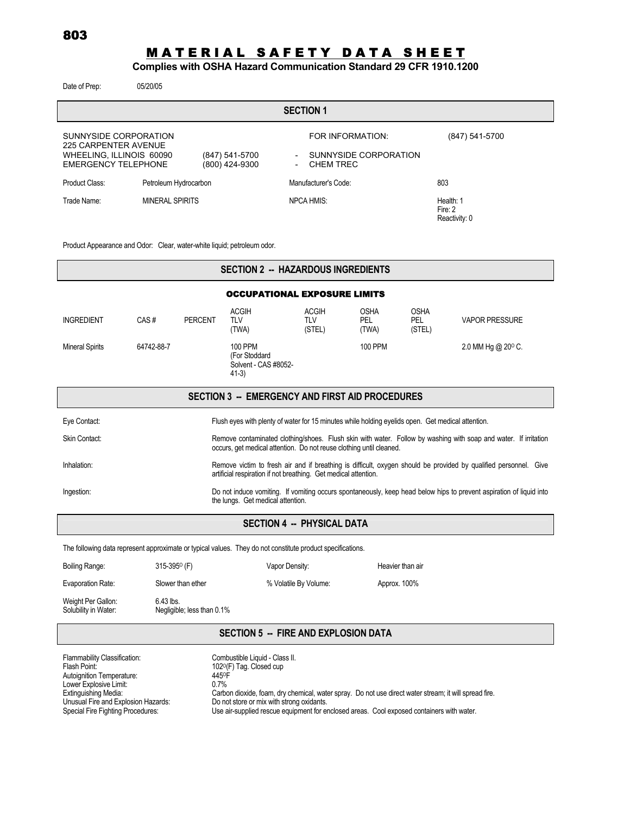# <u>MATERIAL SAFETY DATA SHEET</u>

#### **Complies with OSHA Hazard Communication Standard 29 CFR 1910.1200**

| Date of Prep:                                                                                           | 05/20/05               |                                  |                                                      |                                                        |                                       |  |
|---------------------------------------------------------------------------------------------------------|------------------------|----------------------------------|------------------------------------------------------|--------------------------------------------------------|---------------------------------------|--|
| <b>SECTION 1</b>                                                                                        |                        |                                  |                                                      |                                                        |                                       |  |
| SUNNYSIDE CORPORATION<br>225 CARPENTER AVENUE<br>WHEELING, ILLINOIS 60090<br><b>EMERGENCY TELEPHONE</b> |                        | (847) 541-5700<br>(800) 424-9300 | $\overline{\phantom{0}}$<br>$\overline{\phantom{a}}$ | FOR INFORMATION:<br>SUNNYSIDE CORPORATION<br>CHEM TREC | (847) 541-5700                        |  |
| Product Class:                                                                                          | Petroleum Hydrocarbon  |                                  |                                                      | Manufacturer's Code:                                   | 803                                   |  |
| Trade Name:                                                                                             | <b>MINERAL SPIRITS</b> |                                  |                                                      | <b>NPCA HMIS:</b>                                      | Health: 1<br>Fire: 2<br>Reactivity: 0 |  |

Product Appearance and Odor: Clear, water-white liquid; petroleum odor.

| <b>SECTION 2 -- HAZARDOUS INGREDIENTS</b>                                                                  |                                                                                                                                                                                        |                |                                                                                                   |                                      |                                    |                                     |                             |
|------------------------------------------------------------------------------------------------------------|----------------------------------------------------------------------------------------------------------------------------------------------------------------------------------------|----------------|---------------------------------------------------------------------------------------------------|--------------------------------------|------------------------------------|-------------------------------------|-----------------------------|
|                                                                                                            |                                                                                                                                                                                        |                | <b>OCCUPATIONAL EXPOSURE LIMITS</b>                                                               |                                      |                                    |                                     |                             |
| <b>INGREDIENT</b>                                                                                          | CAS#                                                                                                                                                                                   | <b>PERCENT</b> | <b>ACGIH</b><br><b>TLV</b><br>(TWA)                                                               | <b>ACGIH</b><br><b>TLV</b><br>(STEL) | <b>OSHA</b><br><b>PEL</b><br>(TWA) | <b>OSHA</b><br><b>PEL</b><br>(STEL) | <b>VAPOR PRESSURE</b>       |
| <b>Mineral Spirits</b>                                                                                     | 64742-88-7                                                                                                                                                                             |                | 100 PPM<br>(For Stoddard<br>Solvent - CAS #8052-<br>$41-3)$                                       |                                      | 100 PPM                            |                                     | 2.0 MM Hg @ $20^{\circ}$ C. |
|                                                                                                            |                                                                                                                                                                                        |                | SECTION 3 -- EMERGENCY AND FIRST AID PROCEDURES                                                   |                                      |                                    |                                     |                             |
| Eye Contact:                                                                                               |                                                                                                                                                                                        |                | Flush eyes with plenty of water for 15 minutes while holding eyelids open. Get medical attention. |                                      |                                    |                                     |                             |
| Skin Contact:                                                                                              | Remove contaminated clothing/shoes. Flush skin with water. Follow by washing with soap and water. If irritation<br>occurs, get medical attention. Do not reuse clothing until cleaned. |                |                                                                                                   |                                      |                                    |                                     |                             |
| Inhalation:                                                                                                | Remove victim to fresh air and if breathing is difficult, oxygen should be provided by qualified personnel. Give<br>artificial respiration if not breathing. Get medical attention.    |                |                                                                                                   |                                      |                                    |                                     |                             |
| Ingestion:                                                                                                 | Do not induce vomiting. If vomiting occurs spontaneously, keep head below hips to prevent aspiration of liquid into<br>the lungs. Get medical attention.                               |                |                                                                                                   |                                      |                                    |                                     |                             |
| <b>SECTION 4 -- PHYSICAL DATA</b>                                                                          |                                                                                                                                                                                        |                |                                                                                                   |                                      |                                    |                                     |                             |
| The following data represent approximate or typical values. They do not constitute product specifications. |                                                                                                                                                                                        |                |                                                                                                   |                                      |                                    |                                     |                             |
| Boiling Range:                                                                                             | $315-395^{\circ}$ (F)                                                                                                                                                                  |                | Vapor Density:                                                                                    |                                      |                                    | Heavier than air                    |                             |

| Evaporation Rate:                          | Slower than ether                         | % Volatile By Volume: | Approx. 100% |
|--------------------------------------------|-------------------------------------------|-----------------------|--------------|
| Weight Per Gallon:<br>Solubility in Water: | $6.43$ lbs.<br>Negligible, less than 0.1% |                       |              |

### **SECTION 5 -- FIRE AND EXPLOSION DATA**

| Flammability Classification:        | Combustible Liquid - Class II.                                                                        |
|-------------------------------------|-------------------------------------------------------------------------------------------------------|
| Flash Point:                        | 102 <sup>o</sup> (F) Tag. Closed cup                                                                  |
| Autoignition Temperature:           | 4450F                                                                                                 |
| Lower Explosive Limit:              | $0.7\%$                                                                                               |
| <b>Extinguishing Media:</b>         | Carbon dioxide, foam, dry chemical, water spray. Do not use direct water stream; it will spread fire. |
| Unusual Fire and Explosion Hazards: | Do not store or mix with strong oxidants.                                                             |
| Special Fire Fighting Procedures:   | Use air-supplied rescue equipment for enclosed areas. Cool exposed containers with water.             |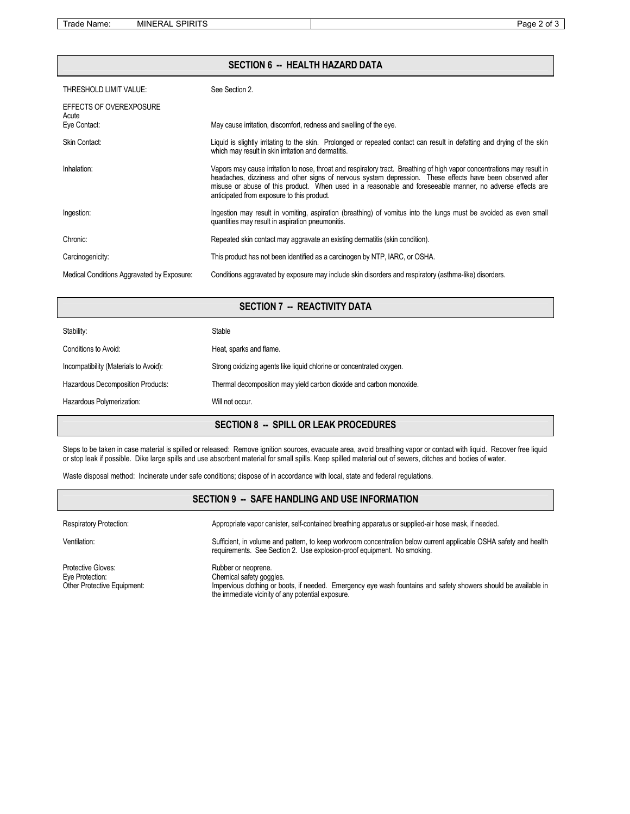Trade Name: MINERAL SPIRITS **Page 2 of 3** 

### **SECTION 6 -- HEALTH HAZARD DATA**

| THRESHOLD LIMIT VALUE:                     | See Section 2.                                                                                                                                                                                                                                                                                                                                                                                  |
|--------------------------------------------|-------------------------------------------------------------------------------------------------------------------------------------------------------------------------------------------------------------------------------------------------------------------------------------------------------------------------------------------------------------------------------------------------|
| EFFECTS OF OVEREXPOSURE<br>Acute           |                                                                                                                                                                                                                                                                                                                                                                                                 |
| Eye Contact:                               | May cause irritation, discomfort, redness and swelling of the eye.                                                                                                                                                                                                                                                                                                                              |
| Skin Contact:                              | Liquid is slightly irritating to the skin. Prolonged or repeated contact can result in defatting and drying of the skin<br>which may result in skin irritation and dermatitis.                                                                                                                                                                                                                  |
| Inhalation:                                | Vapors may cause irritation to nose, throat and respiratory tract. Breathing of high vapor concentrations may result in<br>headaches, dizziness and other signs of nervous system depression. These effects have been observed after<br>misuse or abuse of this product. When used in a reasonable and foreseeable manner, no adverse effects are<br>anticipated from exposure to this product. |
| Ingestion:                                 | Ingestion may result in vomiting, aspiration (breathing) of vomitus into the lungs must be avoided as even small<br>quantities may result in aspiration pneumonitis.                                                                                                                                                                                                                            |
| Chronic:                                   | Repeated skin contact may aggravate an existing dermatitis (skin condition).                                                                                                                                                                                                                                                                                                                    |
| Carcinogenicity:                           | This product has not been identified as a carcinogen by NTP, IARC, or OSHA.                                                                                                                                                                                                                                                                                                                     |
| Medical Conditions Aggravated by Exposure: | Conditions aggravated by exposure may include skin disorders and respiratory (asthma-like) disorders.                                                                                                                                                                                                                                                                                           |

## **SECTION 7 -- REACTIVITY DATA**

|                                       | <b>SECTION 8 -- SPILL OR LEAK PROCEDURES</b>                         |
|---------------------------------------|----------------------------------------------------------------------|
| Hazardous Polymerization:             | Will not occur.                                                      |
| Hazardous Decomposition Products:     | Thermal decomposition may yield carbon dioxide and carbon monoxide.  |
| Incompatibility (Materials to Avoid): | Strong oxidizing agents like liquid chlorine or concentrated oxygen. |
| Conditions to Avoid:                  | Heat, sparks and flame.                                              |
| Stability:                            | <b>Stable</b>                                                        |

Steps to be taken in case material is spilled or released: Remove ignition sources, evacuate area, avoid breathing vapor or contact with liquid. Recover free liquid or stop leak if possible. Dike large spills and use absorbent material for small spills. Keep spilled material out of sewers, ditches and bodies of water.

Waste disposal method: Incinerate under safe conditions; dispose of in accordance with local, state and federal regulations.

#### **SECTION 9 -- SAFE HANDLING AND USE INFORMATION**

| <b>Respiratory Protection:</b>                                       | Appropriate vapor canister, self-contained breathing apparatus or supplied-air hose mask, if needed.                                                                                                                    |
|----------------------------------------------------------------------|-------------------------------------------------------------------------------------------------------------------------------------------------------------------------------------------------------------------------|
| Ventilation:                                                         | Sufficient, in volume and pattern, to keep workroom concentration below current applicable OSHA safety and health<br>requirements. See Section 2. Use explosion-proof equipment. No smoking.                            |
| Protective Gloves:<br>Eye Protection:<br>Other Protective Equipment: | Rubber or neoprene.<br>Chemical safety goggles.<br>Impervious clothing or boots, if needed. Emergency eye wash fountains and safety showers should be available in<br>the immediate vicinity of any potential exposure. |